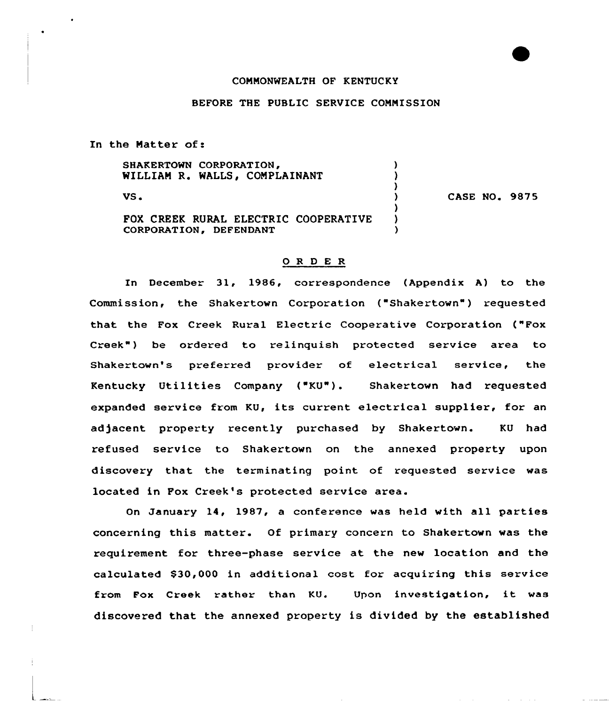# CONNONWEALTH OF KENTUCKY

### BEFORE THE PUBLIC SERVICE COMNISSION

In the Natter of:

SHAKERTOWN CORPORATION, WILLIAM R. WALLS, COMPLAINANT ) VS' CASE NO. 9875  $\lambda$  $\lambda$ FOX CREEK RURAL ELECTRIC COOPERATIVE )<br>CORPORATION, DEFENDANT CORPORATION, DEFENDANT

# 0 <sup>R</sup> <sup>D</sup> E R

In December 31, 1986, correspondence (Appendix A) to the Commission, the Shakertown Corporation ("Shakertown") requested that the Fox Creek Ruxal Electric Cooperative Corporation ("Fox Creek") be ordered to relinquish protected service area to Shake town's preferred provider of electrical service, the Kentucky Utilities Company ("KU"). Shakertown had requested expanded service from KU, its current electrical supplier, for an adjacent property recently purchased by Shakertown. KU had refused service to Shakertown on the annexed property upon discovery that the terminating point of requested service was located in Pox Creek's protected service area.

On January 14, 1987, <sup>a</sup> conference was held with all parties concerning this matter. Of primary concern to Shakertown was the requirement for three-phase service at the new location and the calculated \$30,000 in additional cost for acquiring this service fxom Fox Creek rather than KU. Upon investigation, it was discovered that the annexed property is divided by the established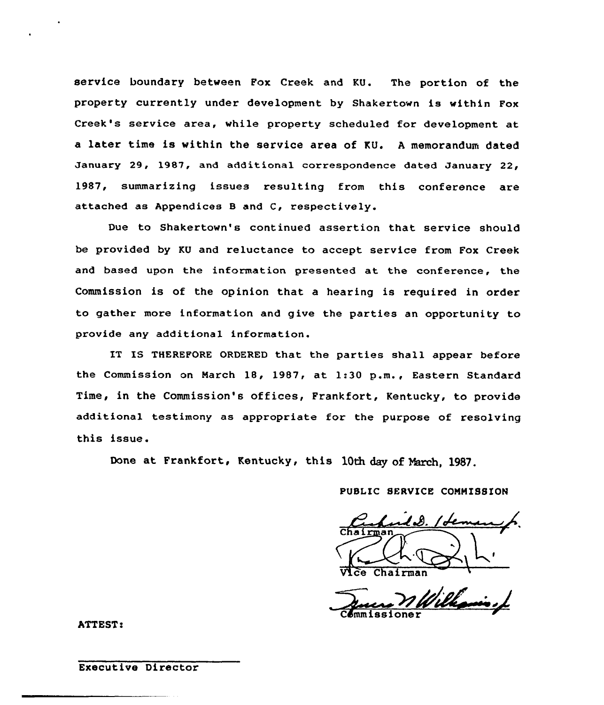service boundary between Pox Creek and KU. The portion of the property currently under development by Shakertown is within Pox Creek's service area, while property scheduled for development at a later time is within the service area of KU. <sup>A</sup> memorandum dated January 29, 1987, and additional correspondence dated January 22, 1987, summarizing issues resulting from this conference are attached as Appendices <sup>B</sup> and C, respectively.

Due to Shakertown's continued assertion that service should be provided by KU and reluctance to accept service from Pox Creek and based upon the information presented at the conference, the Commission is of the opinion that a hearing is required in order to gather more information and give the parties an opportunity to provide any additional information.

IT IS THEREFORE ORDERED that the parties shall appear before the Commission on Narch 18, 1987, at 1:30 p.m., Eastern Standard Time, in the Commission's offices, Frankfort, Kentucky, to provide additional testimony as appropriate for the purpose of resolving this issue.

Done at Frankfort, Kentucky, this 10th day of March, 1987.

# PUBLIC SERVICE CONHISSION

Vice Chairma

Commissione

ATTEST:

#### Executive Director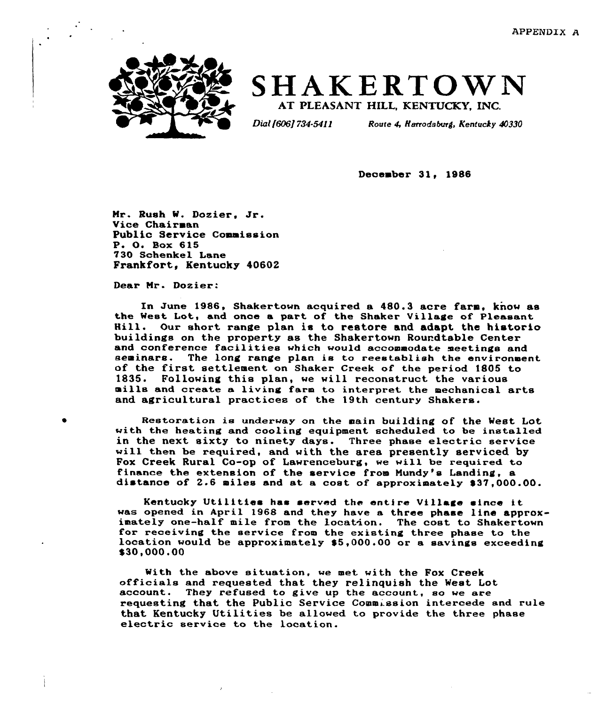

# SHAKERTOWN

Dial [606] 734-5411 Route 4, Harrodsburg, Kentucky 40330

December 31, 1986

Mr. Rush W. Dozier. Jr. Vice Chairman Public Service Commission P. O. Box 615 730 Schenkel Lane Frankfort, Kentucky 40602

Dear Mr. Dozier.

In June 1986, Shakertown acquired a 480.3 acre farm, know as the West Lot, and once a part of the Shaker Village of Pleasant<br>Hill. Our short range plan is to restore and adapt the historio buildings on the property as the Shakertown Roundtable Center and conference facilities which would accommodate meetings and<br>seminars. The long range plan is to reestablish the environment of the first settlement on Shaker Creek of the period 1805 to 1835. Following this plan, we will reconstruct the various mills and create a living farm to interpret the mechanical arts and agricultural practices of the 19th century Shakers.

Restoration is underway on the main building of the West Lot with the heating and cooling equipment scheduled to be installed in the next sixty to ninety days. Three phase electric service will then be required, and with the area presently serviced by Fox Creek Rural Co-op of Lawxenceburg, we will be required to finance the extension of the service from Nundy's Landing, a distance of 2.6 miles and at a cost of approximately \$37,000.00.

Kentucky Utilities has sexved the entire Village since it was opened in April 1968 and they have a three phase line approximately one-half mile from the location. The coat to Shakertown for receiving the service from the existing three phase to the location would be approximately \$ 5,000.00 or <sup>a</sup> savings exceeding  $$30,000.00$ 

With the above situation, we met with the Fox Creek officials and. requested. that they relinquish the West Lot account. They refused to give up the account, eo we are requesting that the Public Service Commission intercede and rule that Kentucky Utilities be allowed to provide the three phase electric service to the location.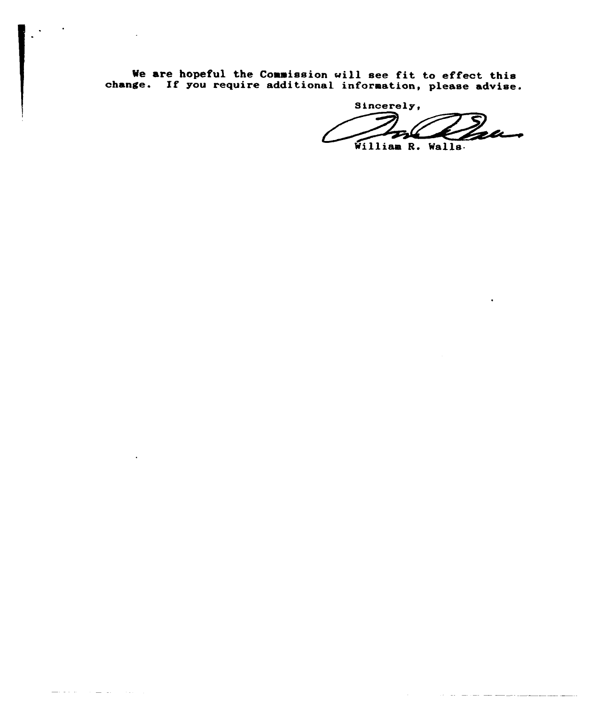We are hopeful the Commission will see fit to effect this change. If you require additional information, please advise.

and and

**Contract Contract** 

 $\sim$  1  $\sim$ 

sincerely,  $\overline{\phantom{a}}$ William R. Walls.

<u>المستخدمات والمتحدد المتحدد المتحدد المتحدد المتحد</u>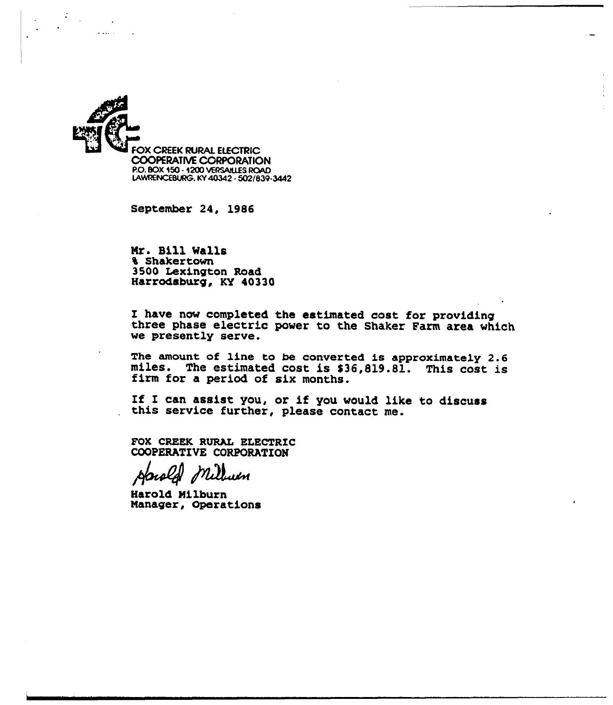

September 24, 1986

Nr. Bill Mails 4 Shakertown 3500 Lexington Road Harrodsburg, KY 40330

<sup>I</sup> have now completed the estimated cost for providing three phase electric power to the Shaker Farm area which we presently serve.

The amount of line to be converted is approximately 2.6 miles. The estimated cost is \$36,819.81. This cost is firm for a period of six months.

If <sup>I</sup> can assist you, or if you would like to discuss this service further, please contact me.

FOX CREEK RURAL ELECTRIC COOPERATIVE CORPORATION

ım

Harold Milburn Manager, Operations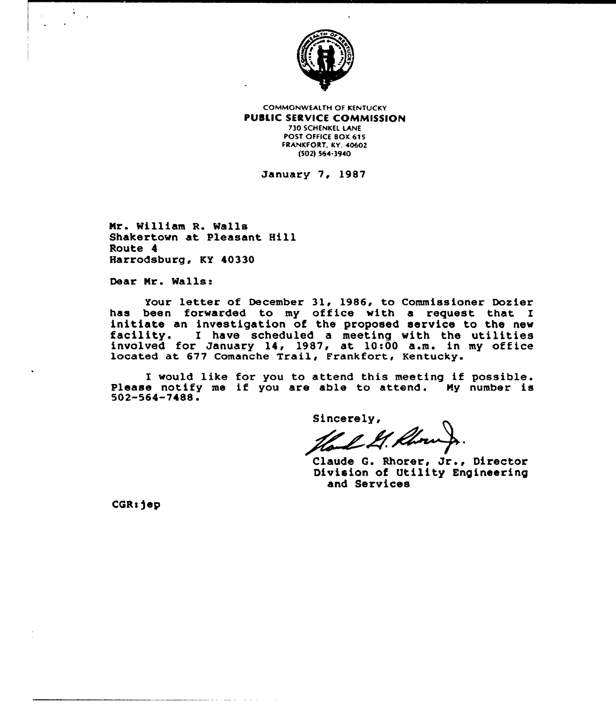

**COMMONWEALTH OF KENTUCKY** PUBLIC SERVICE COMMISSION 730 5CHENKEL LANE POST OFFICE BOX 615 FRANKFORT, KY. 40&02

t502) 5&4-3940

January 7, 1987

Mr. William R. Walls Shakertown at Pleasant Hill Route 4 Harrodsburg, KY 40330

Dear Mr. Walls:

Your letter of December 31, 1986, to Commissioner Dozier has been forwarded to my office with a request that I initiate an investigation of the proposed service to the new facility. <sup>I</sup> have scheduled <sup>a</sup> meeting with the utilities facility. I have scheduled a meeting with the utilities<br>involved for January 14, 1987, at 10:00 a.m. in my office<br>located at 677 Comanche Trail, Frankfort, Kentucky.

I would like for you to attend this meeting if possible. Please notify me if you are able to attend. Ny number is 502-564-7488.

Sincerely,

Haul L. Rhoung.<br>Claude G. Rhorer, Jr., Director

Division of Utility Engineering and Services

CQRsjep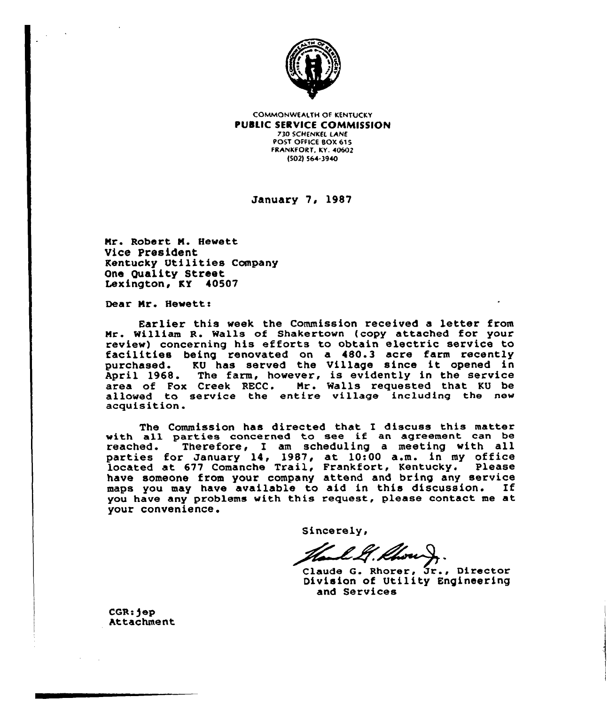

COMMONWEALTH OF KENTUCKY **PUBLIC SERVICE COMMISSION** 730 5CHENKEI. LANE POST OFFICE BOX 615 FRANKFORT, KY. 40602 /502) 564-3940

January 7, 1987

Mr. Robert M. Hewett Vice President Kentucky Utilities Company One Quality Street Lexington, KY 40507

Dear Mr. Hewett:

Earlier this week the Commission received a letter from Mr. William R. Walls of Shakertown (copy attached for your facilities being renovated on a 480.3 acre farm recently<br>purchased. KU has served the Village since it opened in KU has served the Village since it opened in April 1968. The farm, however, is evidently in the service area of Fox Creek RECC. Mr. Walls requested that KU be allowed to service the entire village including the new acquisition.

The Commission has directed that I discuss this matter with all parties concerned to see if an agreement can be reached. Therefore, I am scheduling <sup>a</sup> meeting with all parties for January 14, 1987, at 10:00 a.m. in my office located at 677 Comanche Trail, Frankfort, Kentucky. Please have someone from your company attend and bring any service<br>maps you may have available to aid in this discussion. If maps you may have available to aid in this discussion. you have any problems with this request, please contact me at your convenience.

Sincerely,

Hall, Chour, St., Director

Division of Utility Engineering and Services

CGR:jep Attachment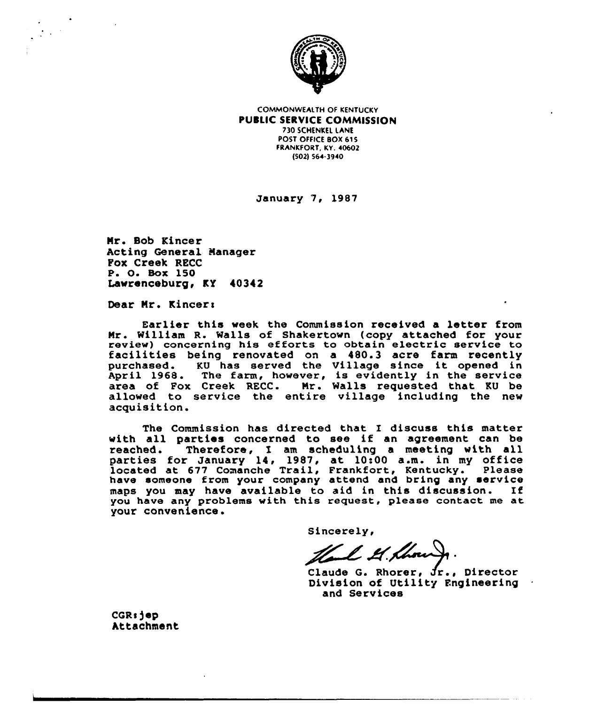

COMMONWEALTH OF KENTUCKY PUBLIC SERVICE COMMISSION 730 SCHENKEL LANE POST OFFICE BOX 615 FRANKFORT, KY. 40602 (502j 564-3940

January 7, 1987

Mr. Bob Kincer Acting General Nanager Fox Creek RECC P. O. Box 150 Lawrenceburg, KV 40342

Dear Mr. Kincer:

Earlier this week the Commission received a letter from Mr. William R. Walls of Shakertown (copy attached for your review) concerning his efforts to obtain electric service to<br>facilities being renovated on a 480.3 acre farm recently purchased. KU has served the Village since it opened in April 1968. The farm, however, is evidently in the service area of Fox Creek RECC. Mr. Walls requested that KU be allowed to service the entire village including the new acquisition.

The Commission has directed that I discuss this matter with all parties concerned to see if an agreement can be reached. Therefore, I am scheduling a meeting with all Therefore, I am scheduling a meeting with all reacned. Therefore, 1 am scheduling a meeting with all<br>parties for January 14, 1987, at 10:00 a.m. in my office located at 677 Comanche Trail, Frankfort, Kentucky. Please have someone from your company attend and bring any service maps you may have available to aid in this discussion. If you have any problems with this request, please contact me at your convenience.

Sincerely,

Hell H. Houry.<br>Claude G. Rhorer, Jr., Director

Division of Utility Fngineering and Services

CGRE)ep Attachment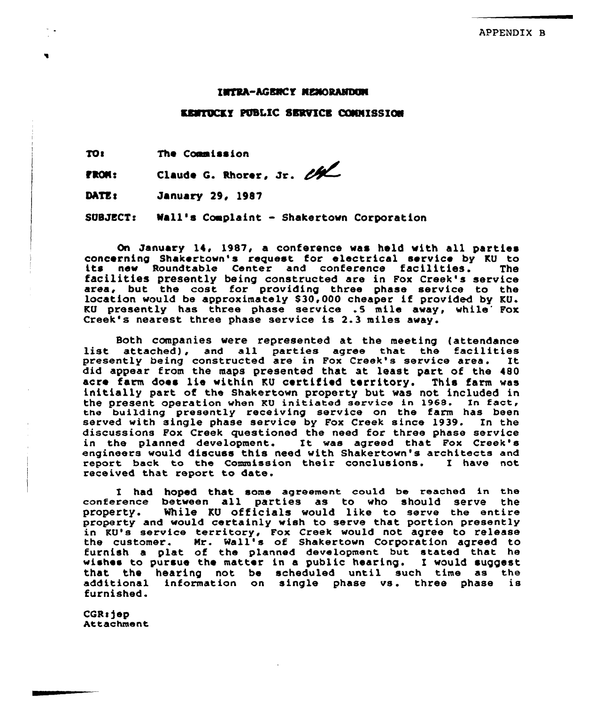#### **INTRA-AGENCY NEMORANDEM**

#### KRMTDCKY PUBLIC SERVICE COMMISSION

TO<sub>1</sub> The Commission

fRCNs Claude G. Rhorer, Jr. et

DATE: January 29, 1987

SUBJECT: Wall's Complaint - Shakertown Corporation

On January 14, 1987, a conference was held with all parties<br>concerning Shakertown's request for electrical service by KU to its new Roundtable Center and conference facilities. The facilities presently being constructed are in Fox Creek's service area, but the cost for providing three phase service to the location would be approximately \$30,000 cheaper if provided by KU. KU presently has three phase service .5 mile away, while Fox<br>Creek's nearest three phase service is 2.3 miles away.

Both companies were represented at the meeting (attendance list attached), and all parties agree that the facilities itst attached), and all parties agree that the racificies did appear from the maps presented that at least part of the 480 acre farm does lie within KU certified territory. This farm was initially part of the Shakertown property but, was not included in the present operation when KU initiated service in 1968. In fact, the building presently receiving service on the farm has been served with single phase service by Fox Creek since 1939. In the discussions Pox Creek questioned the need for three phase service in the planned development. It was agreed that Fox Creek's engineers would discuss this need with Shakertown's architects and<br>report back to the Commission their conclusions. I have not report back to the Commission their conclusions. received that report to date.

I had hoped that some agreement could be reached in the<br>rence between all parties as to who should serve the conference between all parties as to who should serve the While KU officials would like to serve the entire property and would certainly wish to serve that portion presently in KU's service territory, Fox Creek would not agree to release the customer. Mr. Wall's of Shakertown Corporation agreed to furnish a plat of the planned development but stated that he wishes to pursue the matter in a public hearing. I would suggest that the hearing not be scheduled until such time as the additional information on single phase vs . three phase is furnished.

CGR: jep Attachment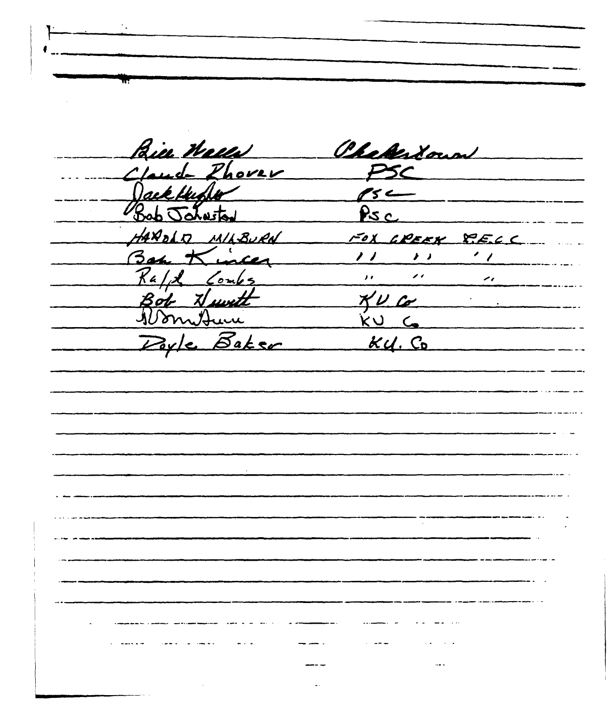Bie Wells Cheberlown Claude Phores PSC Dack Hubber  $\qquad \qquad \mathscr{E} \longleftarrow$  $Psc$ Jaturtad Q MILBURN FOX GREEK RECC  $Kinter11111$ Raff Combs<br>Bot Nuwtt XU Co<br>Don Nuwtt XU Co<br>Doyle Baker KU Co  $\overline{a}$  and  $\overline{a}$  are  $\overline{a}$  and  $\overline{a}$  and  $\overline{a}$  are  $\overline{a}$  and  $\overline{a}$  are  $\overline{a}$  and  $\overline{a}$  are  $\overline{a}$  and  $\overline{a}$  are  $\overline{a}$  and  $\overline{a}$  are  $\overline{a}$  and  $\overline{a}$  are  $\overline{a}$  and  $\overline{a}$  are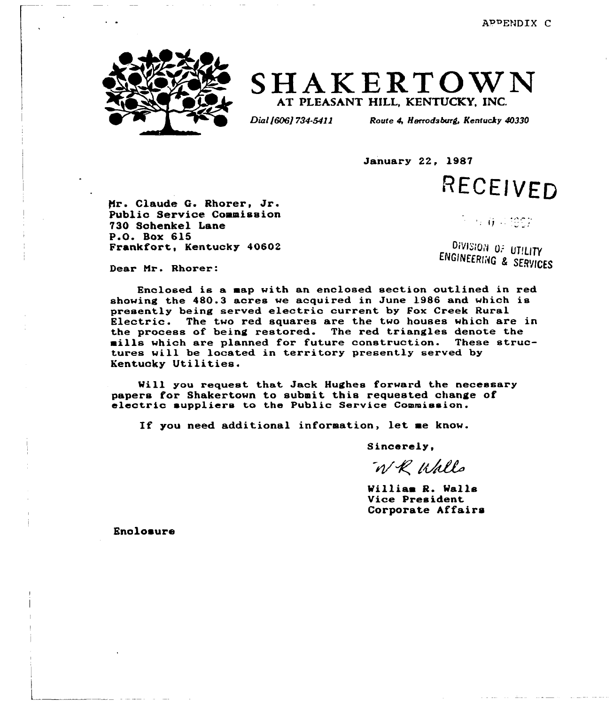

# SHAKERTOWN AT PLEASANT HILL, KENTUCKY. INC.

Dial 1606] 734-5411 Route 4, Harrodsburg, Kentucky 40330

January 22, 1987

RECEIVED

Mr. Claude G. Rhorer, Jr. Public Service Commission 730 Schenkel Lane P.O. Box 615 Frankfort, Kentucky 40602

 $\sim 6.6 \times 196$  ).

DIVISION OF UTILITY **DIVISION OF UTILITY**<br>NGINEERING & SERVICES

Dear Nr. Rhorer:

Enclosed is a aap with an enclosed section outlined in red showing the 480.3 acres we acquired in June 1986 and which is<br>presently being served electric current by Fox Creek Rural Electric. The two red squares are the two houses which are in the process of being restored. The red triangles denote the mills which are planned for future construction. These structures will be located in territory presently served by Kentucky Utilities.

Will you request that Jack Hughes forward the necessary<br>papers for Shakertown to submit this requested change of electric suppliers to the Public Service Commission.

If you need additional inforaation, let ae know.

Sincerely,

WR Walls

William R. Walls Vice President Corporate Affairs

Enclosure